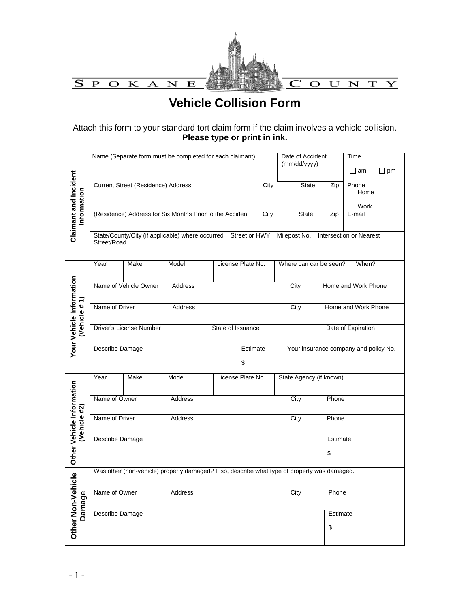

# **Vehicle Collision Form**

Attach this form to your standard tort claim form if the claim involves a vehicle collision. **Please type or print in ink.**

|                                           | Name (Separate form must be completed for each claimant)                                                                 |                                           |                                                                                              |  |                   | Date of Accident<br>(mm/dd/yyyy)      |                | Time                |           |
|-------------------------------------------|--------------------------------------------------------------------------------------------------------------------------|-------------------------------------------|----------------------------------------------------------------------------------------------|--|-------------------|---------------------------------------|----------------|---------------------|-----------|
|                                           |                                                                                                                          |                                           |                                                                                              |  |                   |                                       |                | $\square$ am        | $\Box$ pm |
|                                           |                                                                                                                          | <b>Current Street (Residence) Address</b> |                                                                                              |  | City              | <b>State</b>                          | Zip            | Phone<br>Home       |           |
|                                           |                                                                                                                          |                                           |                                                                                              |  |                   |                                       |                | Work                |           |
| Claimant and Incident<br>Information      |                                                                                                                          |                                           | (Residence) Address for Six Months Prior to the Accident                                     |  | City              | <b>State</b>                          | Zip            | E-mail              |           |
|                                           | State/County/City (if applicable) where occurred Street or HWY<br>Milepost No.<br>Intersection or Nearest<br>Street/Road |                                           |                                                                                              |  |                   |                                       |                |                     |           |
|                                           | Year                                                                                                                     | Make                                      | Model                                                                                        |  | License Plate No. | Where can car be seen?                |                | When?               |           |
|                                           |                                                                                                                          | Name of Vehicle Owner                     | <b>Address</b>                                                                               |  |                   | City                                  |                | Home and Work Phone |           |
| Your Vehicle Information<br>(Vehicle #1)  | Name of Driver                                                                                                           |                                           | Address                                                                                      |  |                   | City                                  |                | Home and Work Phone |           |
|                                           | Driver's License Number<br>State of Issuance<br>Date of Expiration                                                       |                                           |                                                                                              |  |                   |                                       |                |                     |           |
|                                           | Describe Damage                                                                                                          |                                           |                                                                                              |  | Estimate<br>\$    | Your insurance company and policy No. |                |                     |           |
|                                           | Year                                                                                                                     | Make                                      | Model                                                                                        |  | License Plate No. | State Agency (if known)               |                |                     |           |
|                                           | Name of Owner                                                                                                            |                                           | <b>Address</b>                                                                               |  |                   | City                                  | Phone          |                     |           |
| Other Vehicle Information<br>(Vehicle #2) | Name of Driver                                                                                                           |                                           | Address                                                                                      |  |                   | City                                  | Phone          |                     |           |
|                                           | Describe Damage                                                                                                          |                                           |                                                                                              |  |                   |                                       | Estimate<br>\$ |                     |           |
|                                           |                                                                                                                          |                                           |                                                                                              |  |                   |                                       |                |                     |           |
|                                           |                                                                                                                          |                                           | Was other (non-vehicle) property damaged? If so, describe what type of property was damaged. |  |                   |                                       |                |                     |           |
| Other Non-Vehicle                         | Name of Owner                                                                                                            |                                           | Address                                                                                      |  |                   | City                                  | Phone          |                     |           |
| Damage                                    | Describe Damage                                                                                                          |                                           |                                                                                              |  |                   |                                       | Estimate       |                     |           |
|                                           |                                                                                                                          |                                           |                                                                                              |  |                   |                                       | \$             |                     |           |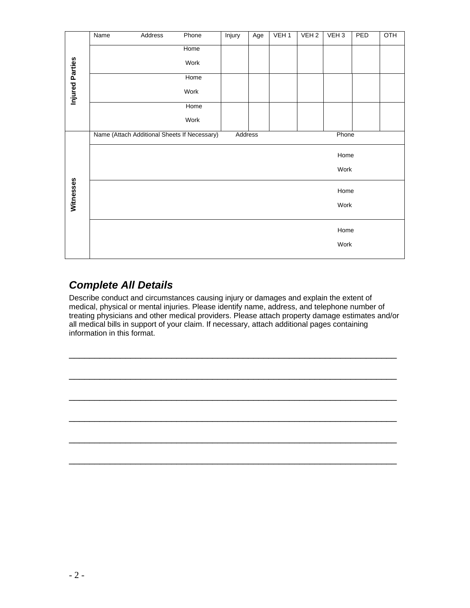|                        | Name | Address                                      | Phone | Injury  | Age | VEH <sub>1</sub> | VEH <sub>2</sub> | VEH <sub>3</sub> | PED | OTH |
|------------------------|------|----------------------------------------------|-------|---------|-----|------------------|------------------|------------------|-----|-----|
|                        |      |                                              | Home  |         |     |                  |                  |                  |     |     |
|                        |      |                                              | Work  |         |     |                  |                  |                  |     |     |
|                        |      |                                              | Home  |         |     |                  |                  |                  |     |     |
| <b>Injured Parties</b> |      |                                              | Work  |         |     |                  |                  |                  |     |     |
|                        |      |                                              | Home  |         |     |                  |                  |                  |     |     |
|                        |      |                                              | Work  |         |     |                  |                  |                  |     |     |
|                        |      | Name (Attach Additional Sheets If Necessary) |       | Address |     |                  |                  | Phone            |     |     |
|                        |      |                                              |       |         |     |                  |                  | Home             |     |     |
|                        |      |                                              |       |         |     |                  |                  | Work             |     |     |
| Witnesses              |      |                                              |       |         |     |                  |                  | Home             |     |     |
|                        |      |                                              |       |         |     |                  |                  | Work             |     |     |
|                        |      |                                              |       |         |     |                  |                  | Home             |     |     |
|                        |      |                                              |       |         |     |                  |                  | Work             |     |     |
|                        |      |                                              |       |         |     |                  |                  |                  |     |     |

## *Complete All Details*

Describe conduct and circumstances causing injury or damages and explain the extent of medical, physical or mental injuries. Please identify name, address, and telephone number of treating physicians and other medical providers. Please attach property damage estimates and/or all medical bills in support of your claim. If necessary, attach additional pages containing information in this format.

\_\_\_\_\_\_\_\_\_\_\_\_\_\_\_\_\_\_\_\_\_\_\_\_\_\_\_\_\_\_\_\_\_\_\_\_\_\_\_\_\_\_\_\_\_\_\_\_\_\_\_\_\_\_\_\_\_\_\_\_\_\_\_\_

\_\_\_\_\_\_\_\_\_\_\_\_\_\_\_\_\_\_\_\_\_\_\_\_\_\_\_\_\_\_\_\_\_\_\_\_\_\_\_\_\_\_\_\_\_\_\_\_\_\_\_\_\_\_\_\_\_\_\_\_\_\_\_\_

\_\_\_\_\_\_\_\_\_\_\_\_\_\_\_\_\_\_\_\_\_\_\_\_\_\_\_\_\_\_\_\_\_\_\_\_\_\_\_\_\_\_\_\_\_\_\_\_\_\_\_\_\_\_\_\_\_\_\_\_\_\_\_\_

\_\_\_\_\_\_\_\_\_\_\_\_\_\_\_\_\_\_\_\_\_\_\_\_\_\_\_\_\_\_\_\_\_\_\_\_\_\_\_\_\_\_\_\_\_\_\_\_\_\_\_\_\_\_\_\_\_\_\_\_\_\_\_\_

\_\_\_\_\_\_\_\_\_\_\_\_\_\_\_\_\_\_\_\_\_\_\_\_\_\_\_\_\_\_\_\_\_\_\_\_\_\_\_\_\_\_\_\_\_\_\_\_\_\_\_\_\_\_\_\_\_\_\_\_\_\_\_\_

\_\_\_\_\_\_\_\_\_\_\_\_\_\_\_\_\_\_\_\_\_\_\_\_\_\_\_\_\_\_\_\_\_\_\_\_\_\_\_\_\_\_\_\_\_\_\_\_\_\_\_\_\_\_\_\_\_\_\_\_\_\_\_\_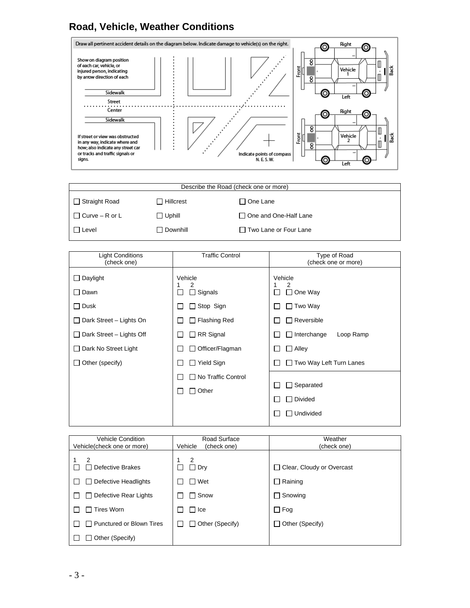#### **Road, Vehicle, Weather Conditions**



| Describe the Road (check one or more) |                   |                         |  |  |
|---------------------------------------|-------------------|-------------------------|--|--|
| $\Box$ Straight Road                  | $\Box$ Hillcrest  | □ One Lane              |  |  |
| $\Box$ Curve – R or L                 | $\Box$ Uphill     | □ One and One-Half Lane |  |  |
| I Level                               | $\sqcap$ Downhill | □ Two Lane or Four Lane |  |  |

| <b>Light Conditions</b><br>(check one)                                     | <b>Traffic Control</b>                                                         | Type of Road<br>(check one or more)                                   |  |  |
|----------------------------------------------------------------------------|--------------------------------------------------------------------------------|-----------------------------------------------------------------------|--|--|
| Daylight<br>Dawn<br>$\mathsf{L}$<br>$\Box$ Dusk<br>Dark Street - Lights On | Vehicle<br>2<br>$\Box$ Signals<br>П<br>$\Box$ Stop Sign<br>$\Box$ Flashing Red | Vehicle<br>2<br>$\Box$ One Way<br>$\Box$ Two Way<br>$\Box$ Reversible |  |  |
| Dark Street - Lights Off<br>Dark No Street Light                           | $\Box$ RR Signal<br>Officer/Flagman<br>$\blacksquare$                          | $\Box$ Interchange<br>Loop Ramp<br>$\Box$ Alley                       |  |  |
| Other (specify)                                                            | $\Box$ Yield Sign                                                              | $\Box$ Two Way Left Turn Lanes                                        |  |  |
|                                                                            | □ No Traffic Control<br>Other<br>$\blacksquare$                                | Separated<br>Divided<br>Undivided                                     |  |  |

| <b>Vehicle Condition</b><br>Vehicle(check one or more) | Road Surface<br>Vehicle<br>(check one) | Weather<br>(check one)                    |
|--------------------------------------------------------|----------------------------------------|-------------------------------------------|
| 2<br>Defective Brakes                                  | 2<br>$\Box$ Dry                        | Clear, Cloudy or Overcast<br>$\mathbf{1}$ |
| Defective Headlights                                   | Wet                                    | $\Box$ Raining                            |
| Defective Rear Lights                                  | Snow                                   | $\Box$ Snowing                            |
| $\sqcap$ Tires Worn                                    | l Ice                                  | $\Box$ Fog                                |
| <b>Punctured or Blown Tires</b>                        | Other (Specify)                        | $\Box$ Other (Specify)                    |
| Other (Specify)                                        |                                        |                                           |